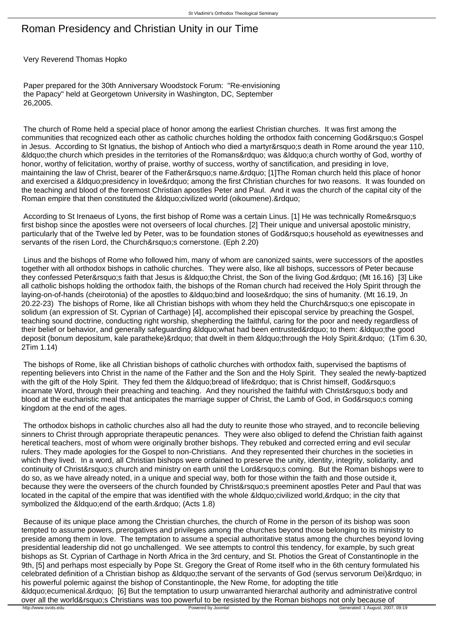## Roman Presidency and Christian Unity in our Time

Very Reverend Thomas Hopko

 Paper prepared for the 30th Anniversary Woodstock Forum: "Re-envisioning the Papacy" held at Georgetown University in Washington, DC, September 26,2005.

 The church of Rome held a special place of honor among the earliest Christian churches. It was first among the communities that recognized each other as catholic churches holding the orthodox faith concerning God&rsquo:s Gospel in Jesus. According to St Ignatius, the bishop of Antioch who died a martyr' sdeath in Rome around the year 110, " the church which presides in the territories of the Romans" was " a church worthy of God, worthy of honor, worthy of felicitation, worthy of praise, worthy of success, worthy of sanctification, and presiding in love, maintaining the law of Christ, bearer of the Father's name." [1]The Roman church held this place of honor and exercised a "presidency in love" among the first Christian churches for two reasons. It was founded on the teaching and blood of the foremost Christian apostles Peter and Paul. And it was the church of the capital city of the Roman empire that then constituted the &Idquo:civilized world (oikoumene).&rdquo:

According to St Irenaeus of Lyons, the first bishop of Rome was a certain Linus. [1] He was technically Rome's first bishop since the apostles were not overseers of local churches. [2] Their unique and universal apostolic ministry, particularly that of the Twelve led by Peter, was to be foundation stones of God's household as eyewitnesses and servants of the risen Lord, the Church' scornerstone. (Eph 2.20)

 Linus and the bishops of Rome who followed him, many of whom are canonized saints, were successors of the apostles together with all orthodox bishops in catholic churches. They were also, like all bishops, successors of Peter because they confessed Peter&rsquo:s faith that Jesus is &Idquo:the Christ, the Son of the living God. &rdquo: (Mt 16.16) [3] Like all catholic bishops holding the orthodox faith, the bishops of the Roman church had received the Holy Spirit through the laying-on-of-hands (cheirotonia) of the apostles to "bind and loose" the sins of humanity. (Mt 16.19, Jn 20.22-23) The bishops of Rome, like all Christian bishops with whom they held the Church&rsquo:s one episcopate in solidum (an expression of St. Cyprian of Carthage) [4], accomplished their episcopal service by preaching the Gospel, teaching sound doctrine, conducting right worship, shepherding the faithful, caring for the poor and needy regardless of their belief or behavior, and generally safeguarding &ldguo; what had been entrusted&rdguo; to them: &ldguo; the good deposit (bonum depositum, kale paratheke)" that dwelt in them "through the Holy Spirit. " (1Tim 6.30, 2Tim 1.14)

 The bishops of Rome, like all Christian bishops of catholic churches with orthodox faith, supervised the baptisms of repenting believers into Christ in the name of the Father and the Son and the Holy Spirit. They sealed the newly-baptized with the gift of the Holy Spirit. They fed them the " bread of life" that is Christ himself, God' s incarnate Word, through their preaching and teaching. And they nourished the faithful with Christ's body and blood at the eucharistic meal that anticipates the marriage supper of Christ, the Lamb of God, in God's coming kingdom at the end of the ages.

 The orthodox bishops in catholic churches also all had the duty to reunite those who strayed, and to reconcile believing sinners to Christ through appropriate therapeutic penances. They were also obliged to defend the Christian faith against heretical teachers, most of whom were originally brother bishops. They rebuked and corrected erring and evil secular rulers. They made apologies for the Gospel to non-Christians. And they represented their churches in the societies in which they lived. In a word, all Christian bishops were ordained to preserve the unity, identity, integrity, solidarity, and continuity of Christ's church and ministry on earth until the Lord's coming. But the Roman bishops were to do so, as we have already noted, in a unique and special way, both for those within the faith and those outside it, because they were the overseers of the church founded by Christ' spreeminent apostles Peter and Paul that was located in the capital of the empire that was identified with the whole & doup civilized world. & rdquo: in the city that symbolized the " end of the earth. & rdquo; (Acts 1.8)

 Because of its unique place among the Christian churches, the church of Rome in the person of its bishop was soon tempted to assume powers, prerogatives and privileges among the churches beyond those belonging to its ministry to preside among them in love. The temptation to assume a special authoritative status among the churches beyond loving presidential leadership did not go unchallenged. We see attempts to control this tendency, for example, by such great bishops as St. Cyprian of Carthage in North Africa in the 3rd century, and St. Photios the Great of Constantinople in the 9th, [5] and perhaps most especially by Pope St. Gregory the Great of Rome itself who in the 6th century formulated his celebrated definition of a Christian bishop as &Idquo:the servant of the servants of God (servus servorum Dei)&rdquo: in his powerful polemic against the bishop of Constantinople, the New Rome, for adopting the title "ecumenical." [6] But the temptation to usurp unwarranted hierarchal authority and administrative control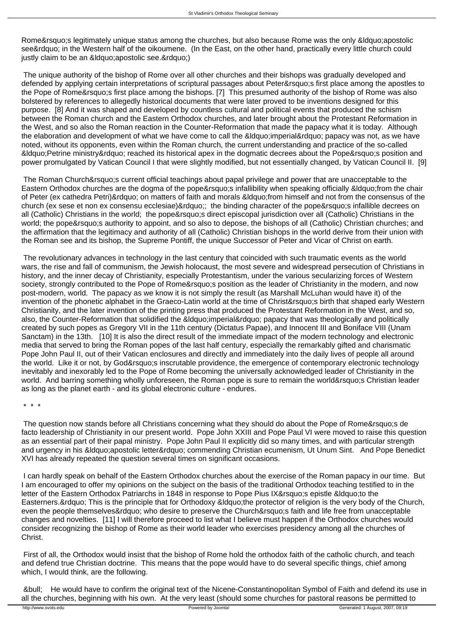Rome&rsquo:s legitimately unique status among the churches, but also because Rome was the only &ldquo:apostolic see" in the Western half of the oikoumene. (In the East, on the other hand, practically every little church could justly claim to be an &Idquo: apostolic see. & rdquo:)

 The unique authority of the bishop of Rome over all other churches and their bishops was gradually developed and defended by applying certain interpretations of scriptural passages about Peter' first place among the apostles to the Pope of Rome's first place among the bishops. [7] This presumed authority of the bishop of Rome was also bolstered by references to allegedly historical documents that were later proved to be inventions designed for this purpose. [8] And it was shaped and developed by countless cultural and political events that produced the schism between the Roman church and the Eastern Orthodox churches, and later brought about the Protestant Reformation in the West, and so also the Roman reaction in the Counter-Reformation that made the papacy what it is today. Although the elaboration and development of what we have come to call the " imperial" papacy was not, as we have noted, without its opponents, even within the Roman church, the current understanding and practice of the so-called &Idquo; Petrine ministry & rdquo; reached its historical apex in the dogmatic decrees about the Pope & rsquo; sposition and power promulgated by Vatican Council I that were slightly modified, but not essentially changed, by Vatican Council II. [9]

The Roman Church&rsquo: current official teachings about papal privilege and power that are unacceptable to the Eastern Orthodox churches are the dogma of the pope&rsquo:s infallibility when speaking officially &ldguo:from the chair of Peter (ex cathedra Petri)" on matters of faith and morals " from himself and not from the consensus of the church (ex sese et non ex consensu ecclesiae)"; the binding character of the pope's infallible decrees on all (Catholic) Christians in the world; the pope' direct episcopal jurisdiction over all (Catholic) Christians in the world; the pope' sauthority to appoint, and so also to depose, the bishops of all (Catholic) Christian churches; and the affirmation that the legitimacy and authority of all (Catholic) Christian bishops in the world derive from their union with the Roman see and its bishop, the Supreme Pontiff, the unique Successor of Peter and Vicar of Christ on earth.

 The revolutionary advances in technology in the last century that coincided with such traumatic events as the world wars, the rise and fall of communism, the Jewish holocaust, the most severe and widespread persecution of Christians in history, and the inner decay of Christianity, especially Protestantism, under the various secularizing forces of Western society, strongly contributed to the Pope of Rome' sposition as the leader of Christianity in the modern, and now post-modern, world. The papacy as we know it is not simply the result (as Marshall McLuhan would have it) of the invention of the phonetic alphabet in the Graeco-Latin world at the time of Christ&rsquo:s birth that shaped early Western Christianity, and the later invention of the printing press that produced the Protestant Reformation in the West, and so, also, the Counter-Reformation that solidified the " imperial" papacy that was theologically and politically created by such popes as Gregory VII in the 11th century (Dictatus Papae), and Innocent III and Boniface VIII (Unam Sanctam) in the 13th. [10] It is also the direct result of the immediate impact of the modern technology and electronic media that served to bring the Roman popes of the last half century, especially the remarkably gifted and charismatic Pope John Paul II, out of their Vatican enclosures and directly and immediately into the daily lives of people all around the world. Like it or not, by God's inscrutable providence, the emergence of contemporary electronic technology inevitably and inexorably led to the Pope of Rome becoming the universally acknowledged leader of Christianity in the world. And barring something wholly unforeseen, the Roman pope is sure to remain the world' Christian leader as long as the planet earth - and its global electronic culture - endures.

\* \* \*

The question now stands before all Christians concerning what they should do about the Pope of Rome's de facto leadership of Christianity in our present world. Pope John XXIII and Pope Paul VI were moved to raise this question as an essential part of their papal ministry. Pope John Paul II explicitly did so many times, and with particular strength and urgency in his &Idquo;apostolic letter" commending Christian ecumenism, Ut Unum Sint. And Pope Benedict XVI has already repeated the question several times on significant occasions.

 I can hardly speak on behalf of the Eastern Orthodox churches about the exercise of the Roman papacy in our time. But I am encouraged to offer my opinions on the subject on the basis of the traditional Orthodox teaching testified to in the letter of the Eastern Orthodox Patriarchs in 1848 in response to Pope Pius IX&rsquo: sepistle &Idquo: to the Easterners. & rdquo; This is the principle that for Orthodoxy & Idquo; the protector of religion is the very body of the Church, even the people themselves" who desire to preserve the Church' sfaith and life free from unacceptable changes and novelties. [11] I will therefore proceed to list what I believe must happen if the Orthodox churches would consider recognizing the bishop of Rome as their world leader who exercises presidency among all the churches of Christ.

 First of all, the Orthodox would insist that the bishop of Rome hold the orthodox faith of the catholic church, and teach and defend true Christian doctrine. This means that the pope would have to do several specific things, chief among which, I would think, are the following.

 • He would have to confirm the original text of the Nicene-Constantinopolitan Symbol of Faith and defend its use in all the churches, beginning with his own. At the very least (should some churches for pastoral reasons be permitted to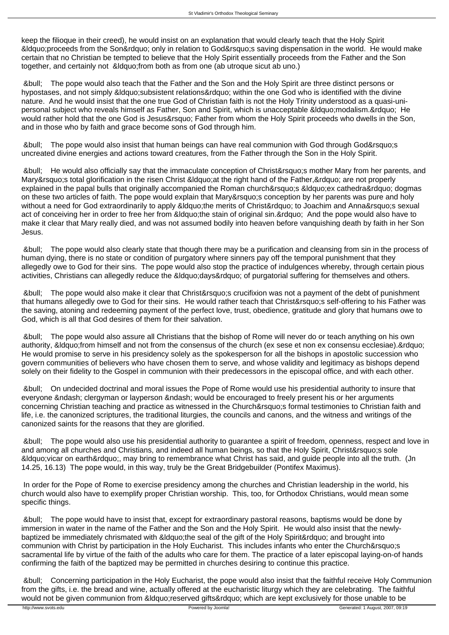keep the filioque in their creed), he would insist on an explanation that would clearly teach that the Holy Spirit  $\&$  dauo:proceeds from the Son $\&$  rdauo: only in relation to God $\&$  rsaving dispensation in the world. He would make certain that no Christian be tempted to believe that the Holy Spirit essentially proceeds from the Father and the Son together, and certainly not " from both as from one (ab utroque sicut ab uno.)

 • The pope would also teach that the Father and the Son and the Holy Spirit are three distinct persons or hypostases, and not simply " subsistent relations" within the one God who is identified with the divine nature. And he would insist that the one true God of Christian faith is not the Holy Trinity understood as a quasi-unipersonal subject who reveals himself as Father, Son and Spirit, which is unacceptable &Idquo;modalism." He would rather hold that the one God is Jesus&rsquo: Father from whom the Holy Spirit proceeds who dwells in the Son, and in those who by faith and grace become sons of God through him.

• The pope would also insist that human beings can have real communion with God through God's uncreated divine energies and actions toward creatures, from the Father through the Son in the Holy Spirit.

• He would also officially say that the immaculate conception of Christ&rsquo: smother Mary from her parents, and Mary&rsquo:s total glorification in the risen Christ &Idquo:at the right hand of the Father,&rdquo: are not properly explained in the papal bulls that originally accompanied the Roman church&rsquo:s &Idquo:ex cathedra&rdquo: dogmas on these two articles of faith. The pope would explain that Mary&rsquo: conception by her parents was pure and holy without a need for God extraordinarily to apply " the merits of Christ" to Joachim and Anna' s sexual act of conceiving her in order to free her from &Idquo; the stain of original sin. " And the pope would also have to make it clear that Mary really died, and was not assumed bodily into heaven before vanquishing death by faith in her Son Jesus.

 • The pope would also clearly state that though there may be a purification and cleansing from sin in the process of human dying, there is no state or condition of purgatory where sinners pay off the temporal punishment that they allegedly owe to God for their sins. The pope would also stop the practice of indulgences whereby, through certain pious activities, Christians can allegedly reduce the &ldguo; days&rdguo; of purgatorial suffering for themselves and others.

• The pope would also make it clear that Christ' crucifixion was not a payment of the debt of punishment that humans allegedly owe to God for their sins. He would rather teach that Christ&rsquo:s self-offering to his Father was the saving, atoning and redeeming payment of the perfect love, trust, obedience, gratitude and glory that humans owe to God, which is all that God desires of them for their salvation.

 • The pope would also assure all Christians that the bishop of Rome will never do or teach anything on his own authority, & douo; from himself and not from the consensus of the church (ex sese et non ex consensu ecclesiae). & rdouo; He would promise to serve in his presidency solely as the spokesperson for all the bishops in apostolic succession who govern communities of believers who have chosen them to serve, and whose validity and legitimacy as bishops depend solely on their fidelity to the Gospel in communion with their predecessors in the episcopal office, and with each other.

 • On undecided doctrinal and moral issues the Pope of Rome would use his presidential authority to insure that everyone – clergyman or layperson – would be encouraged to freely present his or her arguments concerning Christian teaching and practice as witnessed in the Church&rsquo: formal testimonies to Christian faith and life, i.e. the canonized scriptures, the traditional liturgies, the councils and canons, and the witness and writings of the canonized saints for the reasons that they are glorified.

 • The pope would also use his presidential authority to guarantee a spirit of freedom, openness, respect and love in and among all churches and Christians, and indeed all human beings, so that the Holy Spirit, Christ's sole &Idquo; vicar on earth & rdquo;, may bring to remembrance what Christ has said, and quide people into all the truth. (Jn 14.25, 16.13) The pope would, in this way, truly be the Great Bridgebuilder (Pontifex Maximus).

 In order for the Pope of Rome to exercise presidency among the churches and Christian leadership in the world, his church would also have to exemplify proper Christian worship. This, too, for Orthodox Christians, would mean some specific things.

 • The pope would have to insist that, except for extraordinary pastoral reasons, baptisms would be done by immersion in water in the name of the Father and the Son and the Holy Spirit. He would also insist that the newlybaptized be immediately chrismated with " the seal of the gift of the Holy Spirit" and brought into communion with Christ by participation in the Holy Eucharist. This includes infants who enter the Church&rsquo:s sacramental life by virtue of the faith of the adults who care for them. The practice of a later episcopal laying-on-of hands confirming the faith of the baptized may be permitted in churches desiring to continue this practice.

 • Concerning participation in the Holy Eucharist, the pope would also insist that the faithful receive Holy Communion from the gifts, i.e. the bread and wine, actually offered at the eucharistic liturgy which they are celebrating. The faithful would not be given communion from " reserved gifts" which are kept exclusively for those unable to be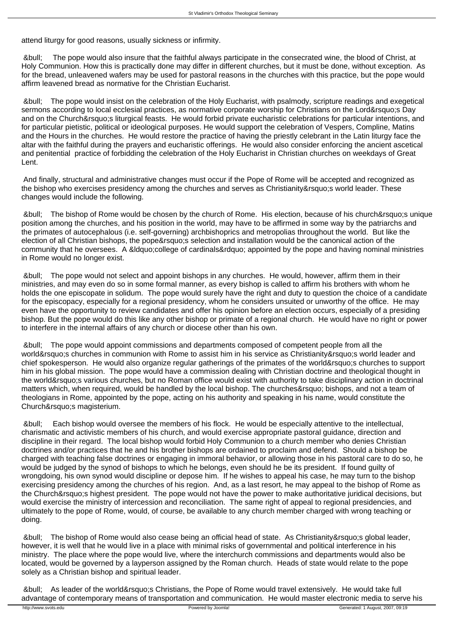attend liturgy for good reasons, usually sickness or infirmity.

 • The pope would also insure that the faithful always participate in the consecrated wine, the blood of Christ, at Holy Communion. How this is practically done may differ in different churches, but it must be done, without exception. As for the bread, unleavened wafers may be used for pastoral reasons in the churches with this practice, but the pope would affirm leavened bread as normative for the Christian Eucharist.

 • The pope would insist on the celebration of the Holy Eucharist, with psalmody, scripture readings and exegetical sermons according to local ecclesial practices, as normative corporate worship for Christians on the Lord' Day and on the Church&rsquo:s liturgical feasts. He would forbid private eucharistic celebrations for particular intentions, and for particular pietistic, political or ideological purposes. He would support the celebration of Vespers, Compline, Matins and the Hours in the churches. He would restore the practice of having the priestly celebrant in the Latin liturgy face the altar with the faithful during the prayers and eucharistic offerings. He would also consider enforcing the ancient ascetical and penitential practice of forbidding the celebration of the Holy Eucharist in Christian churches on weekdays of Great Lent.

 And finally, structural and administrative changes must occur if the Pope of Rome will be accepted and recognized as the bishop who exercises presidency among the churches and serves as Christianity&rsquo: sworld leader. These changes would include the following.

• The bishop of Rome would be chosen by the church of Rome. His election, because of his church' sunique position among the churches, and his position in the world, may have to be affirmed in some way by the patriarchs and the primates of autocephalous (i.e. self-governing) archbishoprics and metropolias throughout the world. But like the election of all Christian bishops, the pope's selection and installation would be the canonical action of the community that he oversees. A "college of cardinals" appointed by the pope and having nominal ministries in Rome would no longer exist.

 • The pope would not select and appoint bishops in any churches. He would, however, affirm them in their ministries, and may even do so in some formal manner, as every bishop is called to affirm his brothers with whom he holds the one episcopate in solidum. The pope would surely have the right and duty to question the choice of a candidate for the episcopacy, especially for a regional presidency, whom he considers unsuited or unworthy of the office. He may even have the opportunity to review candidates and offer his opinion before an election occurs, especially of a presiding bishop. But the pope would do this like any other bishop or primate of a regional church. He would have no right or power to interfere in the internal affairs of any church or diocese other than his own.

 • The pope would appoint commissions and departments composed of competent people from all the world&rsquo:s churches in communion with Rome to assist him in his service as Christianity&rsquo:s world leader and chief spokesperson. He would also organize regular gatherings of the primates of the world's churches to support him in his global mission. The pope would have a commission dealing with Christian doctrine and theological thought in the world' svarious churches, but no Roman office would exist with authority to take disciplinary action in doctrinal matters which, when required, would be handled by the local bishop. The churches' bishops, and not a team of theologians in Rome, appointed by the pope, acting on his authority and speaking in his name, would constitute the Church&rsquo:s magisterium.

 • Each bishop would oversee the members of his flock. He would be especially attentive to the intellectual, charismatic and activistic members of his church, and would exercise appropriate pastoral guidance, direction and discipline in their regard. The local bishop would forbid Holy Communion to a church member who denies Christian doctrines and/or practices that he and his brother bishops are ordained to proclaim and defend. Should a bishop be charged with teaching false doctrines or engaging in immoral behavior, or allowing those in his pastoral care to do so, he would be judged by the synod of bishops to which he belongs, even should he be its president. If found guilty of wrongdoing, his own synod would discipline or depose him. If he wishes to appeal his case, he may turn to the bishop exercising presidency among the churches of his region. And, as a last resort, he may appeal to the bishop of Rome as the Church' shighest president. The pope would not have the power to make authoritative juridical decisions, but would exercise the ministry of intercession and reconciliation. The same right of appeal to regional presidencies, and ultimately to the pope of Rome, would, of course, be available to any church member charged with wrong teaching or doing.

• The bishop of Rome would also cease being an official head of state. As Christianity's global leader, however, it is well that he would live in a place with minimal risks of governmental and political interference in his ministry. The place where the pope would live, where the interchurch commissions and departments would also be located, would be governed by a layperson assigned by the Roman church. Heads of state would relate to the pope solely as a Christian bishop and spiritual leader.

• As leader of the world's Christians, the Pope of Rome would travel extensively. He would take full advantage of contemporary means of transportation and communication. He would master electronic media to serve his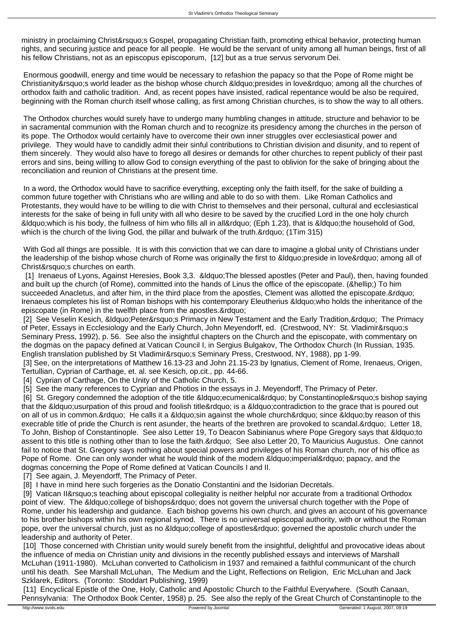ministry in proclaiming Christ' Gospel, propagating Christian faith, promoting ethical behavior, protecting human rights, and securing justice and peace for all people. He would be the servant of unity among all human beings, first of all his fellow Christians, not as an episcopus episcoporum, [12] but as a true servus servorum Dei.

 Enormous goodwill, energy and time would be necessary to refashion the papacy so that the Pope of Rome might be Christianity' s world leader as the bishop whose church " presides in love" among all the churches of orthodox faith and catholic tradition. And, as recent popes have insisted, radical repentance would be also be required, beginning with the Roman church itself whose calling, as first among Christian churches, is to show the way to all others.

 The Orthodox churches would surely have to undergo many humbling changes in attitude, structure and behavior to be in sacramental communion with the Roman church and to recognize its presidency among the churches in the person of its pope. The Orthodox would certainly have to overcome their own inner struggles over ecclesiastical power and privilege. They would have to candidly admit their sinful contributions to Christian division and disunity, and to repent of them sincerely. They would also have to forego all desires or demands for other churches to repent publicly of their past errors and sins, being willing to allow God to consign everything of the past to oblivion for the sake of bringing about the reconciliation and reunion of Christians at the present time.

 In a word, the Orthodox would have to sacrifice everything, excepting only the faith itself, for the sake of building a common future together with Christians who are willing and able to do so with them. Like Roman Catholics and Protestants, they would have to be willing to die with Christ to themselves and their personal, cultural and ecclesiastical interests for the sake of being in full unity with all who desire to be saved by the crucified Lord in the one holy church " which is his body, the fullness of him who fills all in all" (Eph 1.23), that is " the household of God, which is the church of the living God, the pillar and bulwark of the truth. & rdquo; (1Tim 315)

 With God all things are possible. It is with this conviction that we can dare to imagine a global unity of Christians under the leadership of the bishop whose church of Rome was originally the first to &Idquo;preside in love" among all of Christ&rsquo: s churches on earth.

[1] Irenaeus of Lyons, Against Heresies, Book 3,3. & diguo; The blessed apostles (Peter and Paul), then, having founded and built up the church (of Rome), committed into the hands of Linus the office of the episcopate. (&hellip:) To him succeeded Anacletus, and after him, in the third place from the apostles, Clement was allotted the episcopate." Irenaeus completes his list of Roman bishops with his contemporary Eleutherius &Idquo; who holds the inheritance of the episcopate (in Rome) in the twelfth place from the apostles."

[2] See Veselin Kesich, "Peter's Primacy in New Testament and the Early Tradition, " The Primacy of Peter, Essays in Ecclesiology and the Early Church, John Meyendorff, ed. (Crestwood, NY: St. Vladimir&rsquo:s Seminary Press, 1992), p. 56. See also the insightful chapters on the Church and the episcopate, with commentary on the dogmas on the papacy defined at Vatican Council I, in Sergius Bulgakov, The Orthodox Church (In Russian, 1935. English translation published by St Vladimir' Seminary Press, Crestwood, NY, 1988), pp 1-99.

[3] See, on the interpretations of Matthew 16.13-23 and John 21.15-23 by Ignatius, Clement of Rome, Irenaeus, Origen, Tertullian, Cyprian of Carthage, et. al. see Kesich, op.cit., pp. 44-66.

[4] Cyprian of Carthage, On the Unity of the Catholic Church, 5.

[5] See the many references to Cyprian and Photios in the essays in J. Meyendorff, The Primacy of Peter.

[6] St. Gregory condemned the adoption of the title "ecumenical" by Constantinople's bishop saying that the & douo; usurpation of this proud and foolish title & rdouo; is a & douo; contradiction to the grace that is poured out on all of us in common. & rdquo; He calls it a " sin against the whole church & rdquo; since " by reason of this execrable title of pride the Church is rent asunder, the hearts of the brethren are provoked to scandal." Letter 18, To John, Bishop of Constantinople. See also Letter 19, To Deacon Sabinianus where Pope Gregory says that &Idquo;to assent to this title is nothing other than to lose the faith." See also Letter 20, To Mauricius Augustus. One cannot fail to notice that St. Gregory says nothing about special powers and privileges of his Roman church, nor of his office as Pope of Rome. One can only wonder what he would think of the modern & ldquo; imperial" papacy, and the dogmas concerning the Pope of Rome defined at Vatican Councils I and II.

[7] See again, J. Meyendorff, The Primacy of Peter.

[8] I have in mind here such forgeries as the Donatio Constantini and the Isidorian Decretals.

[9] Vatican II&rsquo:s teaching about episcopal collegiality is neither helpful nor accurate from a traditional Orthodox point of view. The &ldquo:college of bishops&rdquo: does not govern the universal church together with the Pope of Rome, under his leadership and guidance. Each bishop governs his own church, and gives an account of his governance to his brother bishops within his own regional synod. There is no universal episcopal authority, with or without the Roman pope, over the universal church, just as no "college of apostles" governed the apostolic church under the leadership and authority of Peter.

 [10] Those concerned with Christian unity would surely benefit from the insightful, delightful and provocative ideas about the influence of media on Christian unity and divisions in the recently published essays and interviews of Marshall McLuhan (1911-1980). McLuhan converted to Catholicism in 1937 and remained a faithful communicant of the church until his death. See Marshall McLuhan, The Medium and the Light, Reflections on Religion, Eric McLuhan and Jack Szklarek, Editors. (Toronto: Stoddart Publishing, 1999)

[11] Encyclical Epistle of the One, Holy, Catholic and Apostolic Church to the Faithful Everywhere. (South Canaan, Pennsylvania: The Orthodox Book Center, 1958) p. 25. See also the reply of the Great Church of Constantinople to the